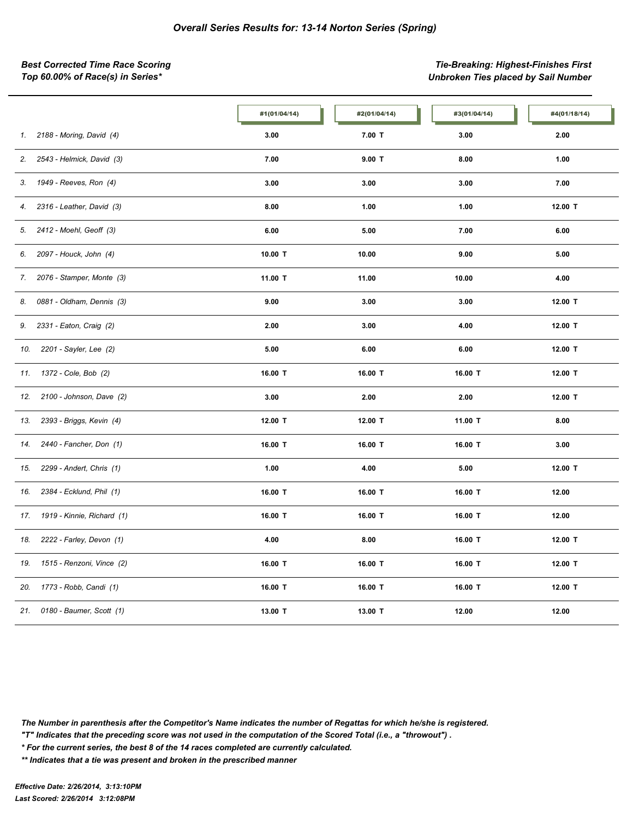*Best Corrected Time Race Scoring Tie-Breaking: Highest-Finishes First Top 60.00% of Race(s) in Series\* Unbroken Ties placed by Sail Number*

|                                   | #1(01/04/14) | #2(01/04/14) | #3(01/04/14) | #4(01/18/14) |
|-----------------------------------|--------------|--------------|--------------|--------------|
| 2188 - Moring, David (4)<br>1.    | 3.00         | $7.00$ T     | 3.00         | 2.00         |
| 2.<br>2543 - Helmick, David (3)   | 7.00         | $9.00$ T     | 8.00         | 1.00         |
| 1949 - Reeves, Ron (4)<br>3.      | 3.00         | 3.00         | 3.00         | 7.00         |
| 2316 - Leather, David (3)<br>4.   | 8.00         | 1.00         | 1.00         | 12.00 T      |
| 2412 - Moehl, Geoff (3)<br>5.     | 6.00         | 5.00         | 7.00         | 6.00         |
| 2097 - Houck, John (4)<br>6.      | 10.00 T      | 10.00        | 9.00         | 5.00         |
| 2076 - Stamper, Monte (3)<br>7.   | 11.00 T      | 11.00        | 10.00        | 4.00         |
| 0881 - Oldham, Dennis (3)<br>8.   | 9.00         | 3.00         | 3.00         | 12.00 T      |
| 2331 - Eaton, Craig (2)<br>9.     | 2.00         | 3.00         | 4.00         | 12.00 T      |
| 2201 - Sayler, Lee (2)<br>10.     | 5.00         | 6.00         | 6.00         | 12.00 T      |
| 1372 - Cole, Bob (2)<br>11.       | 16.00 T      | 16.00 T      | 16.00 T      | 12.00 T      |
| 2100 - Johnson, Dave (2)<br>12.   | 3.00         | 2.00         | 2.00         | 12.00 T      |
| 2393 - Briggs, Kevin (4)<br>13.   | 12.00 T      | 12.00 T      | 11.00 T      | 8.00         |
| 2440 - Fancher, Don (1)<br>14.    | 16.00 T      | 16.00 T      | 16.00 T      | 3.00         |
| 2299 - Andert, Chris (1)<br>15.   | 1.00         | 4.00         | 5.00         | 12.00 T      |
| 2384 - Ecklund, Phil (1)<br>16.   | 16.00 T      | 16.00 T      | 16.00 T      | 12.00        |
| 1919 - Kinnie, Richard (1)<br>17. | 16.00 T      | 16.00 T      | 16.00 T      | 12.00        |
| 2222 - Farley, Devon (1)<br>18.   | 4.00         | 8.00         | 16.00 T      | 12.00 T      |
| 1515 - Renzoni, Vince (2)<br>19.  | 16.00 T      | 16.00 T      | 16.00 T      | 12.00 T      |
| 1773 - Robb, Candi (1)<br>20.     | 16.00 T      | 16.00 T      | 16.00 T      | 12.00 T      |
| 0180 - Baumer, Scott (1)<br>21.   | 13.00 T      | 13.00 T      | 12.00        | 12.00        |

*The Number in parenthesis after the Competitor's Name indicates the number of Regattas for which he/she is registered.*

*"T" Indicates that the preceding score was not used in the computation of the Scored Total (i.e., a "throwout") .*

*\* For the current series, the best 8 of the 14 races completed are currently calculated.*

*\*\* Indicates that a tie was present and broken in the prescribed manner*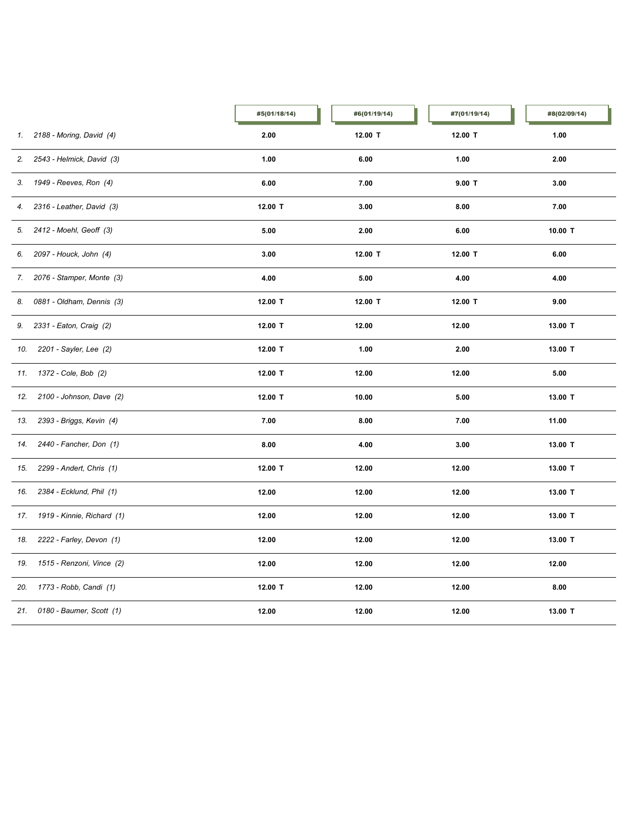|     |                              | #5(01/18/14) | #6(01/19/14) | #7(01/19/14) | #8(02/09/14) |
|-----|------------------------------|--------------|--------------|--------------|--------------|
|     | 1. 2188 - Moring, David (4)  | 2.00         | 12.00 T      | 12.00 T      | 1.00         |
| 2.  | 2543 - Helmick, David (3)    | 1.00         | 6.00         | 1.00         | 2.00         |
| 3.  | 1949 - Reeves, Ron (4)       | 6.00         | 7.00         | $9.00$ T     | 3.00         |
| 4.  | 2316 - Leather, David (3)    | 12.00 T      | 3.00         | 8.00         | 7.00         |
| 5.  | 2412 - Moehl, Geoff (3)      | 5.00         | 2.00         | 6.00         | 10.00 T      |
| 6.  | 2097 - Houck, John (4)       | 3.00         | 12.00 T      | 12.00 T      | 6.00         |
| 7.  | 2076 - Stamper, Monte (3)    | 4.00         | 5.00         | 4.00         | 4.00         |
| 8.  | 0881 - Oldham, Dennis (3)    | 12.00 T      | 12.00 T      | 12.00 T      | 9.00         |
| 9.  | 2331 - Eaton, Craig (2)      | 12.00 T      | 12.00        | 12.00        | 13.00 T      |
| 10. | 2201 - Sayler, Lee (2)       | 12.00 T      | 1.00         | 2.00         | 13.00 T      |
|     | 11. 1372 - Cole, Bob (2)     | 12.00 T      | 12.00        | 12.00        | 5.00         |
| 12. | 2100 - Johnson, Dave (2)     | 12.00 T      | 10.00        | 5.00         | 13.00 T      |
| 13. | 2393 - Briggs, Kevin (4)     | 7.00         | 8.00         | 7.00         | 11.00        |
| 14. | 2440 - Fancher, Don (1)      | 8.00         | 4.00         | 3.00         | 13.00 T      |
| 15. | 2299 - Andert, Chris (1)     | 12.00 T      | 12.00        | 12.00        | 13.00 T      |
| 16. | 2384 - Ecklund, Phil (1)     | 12.00        | 12.00        | 12.00        | 13.00 T      |
| 17. | 1919 - Kinnie, Richard (1)   | 12.00        | 12.00        | 12.00        | 13.00 T      |
| 18. | 2222 - Farley, Devon (1)     | 12.00        | 12.00        | 12.00        | 13.00 T      |
| 19. | 1515 - Renzoni, Vince (2)    | 12.00        | 12.00        | 12.00        | 12.00        |
| 20. | 1773 - Robb, Candi (1)       | 12.00 T      | 12.00        | 12.00        | 8.00         |
|     | 21. 0180 - Baumer, Scott (1) | 12.00        | 12.00        | 12.00        | 13.00 T      |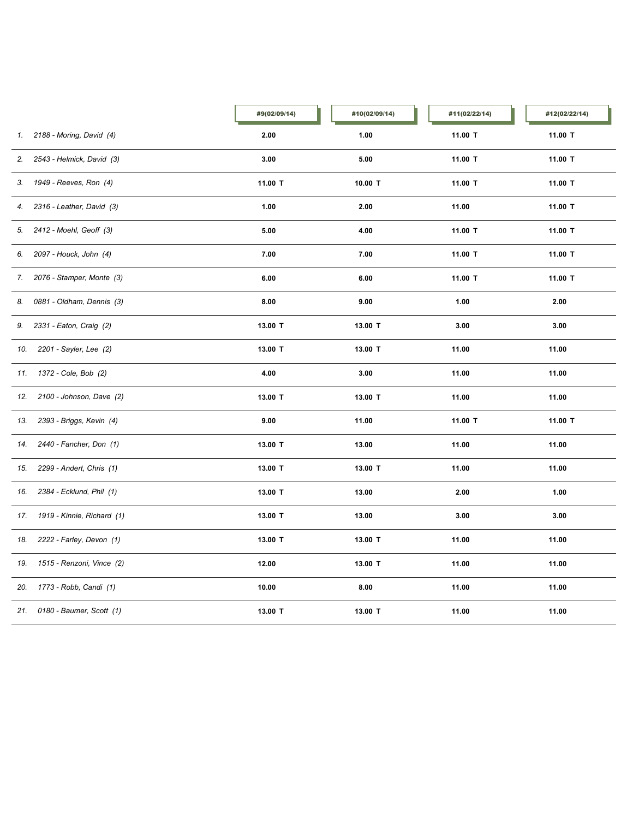|     |                              | #9(02/09/14) | #10(02/09/14)   | #11(02/22/14) | #12(02/22/14) |
|-----|------------------------------|--------------|-----------------|---------------|---------------|
|     | 1. 2188 - Moring, David (4)  | 2.00         | 1.00            | 11.00 T       | 11.00 T       |
| 2.  | 2543 - Helmick, David (3)    | 3.00         | 5.00            | 11.00 T       | 11.00 T       |
| 3.  | 1949 - Reeves, Ron (4)       | 11.00 T      | 10.00 T         | 11.00 T       | 11.00 T       |
| 4.  | 2316 - Leather, David (3)    | 1.00         | 2.00            | 11.00         | 11.00 T       |
| 5.  | 2412 - Moehl, Geoff (3)      | 5.00         | 4.00<br>11.00 T |               | 11.00 T       |
| 6.  | 2097 - Houck, John (4)       | 7.00         | 7.00            | 11.00 T       | 11.00 T       |
| 7.  | 2076 - Stamper, Monte (3)    | 6.00         | 6.00            | 11.00 T       | 11.00 T       |
| 8.  | 0881 - Oldham, Dennis (3)    | 8.00         | 9.00            | 1.00          | 2.00          |
| 9.  | 2331 - Eaton, Craig (2)      | 13.00 T      | 13.00 T         | 3.00          | 3.00          |
| 10. | 2201 - Sayler, Lee (2)       | 13.00 T      | 13.00 T         | 11.00         | 11.00         |
| 11. | 1372 - Cole, Bob (2)         | 4.00         | 3.00            | 11.00         | 11.00         |
| 12. | 2100 - Johnson, Dave (2)     | 13.00 T      | 13.00 T         | 11.00         | 11.00         |
| 13. | 2393 - Briggs, Kevin (4)     | 9.00         | 11.00           | 11.00 T       | 11.00 T       |
| 14. | 2440 - Fancher, Don (1)      | 13.00 T      | 13.00           | 11.00         | 11.00         |
| 15. | 2299 - Andert, Chris (1)     | 13.00 T      | 13.00 T         | 11.00         | 11.00         |
| 16. | 2384 - Ecklund, Phil (1)     | 13.00 T      | 13.00           | 2.00          | 1.00          |
| 17. | 1919 - Kinnie, Richard (1)   | 13.00 T      | 13.00           | 3.00          | 3.00          |
| 18. | 2222 - Farley, Devon (1)     | 13.00 T      | 13.00 T         | 11.00         | 11.00         |
| 19. | 1515 - Renzoni, Vince (2)    | 12.00        | 13.00 T         | 11.00         | 11.00         |
| 20. | 1773 - Robb, Candi (1)       | 10.00        | 8.00            | 11.00         | 11.00         |
|     | 21. 0180 - Baumer, Scott (1) | 13.00 T      | 13.00 T         | 11.00         | 11.00         |